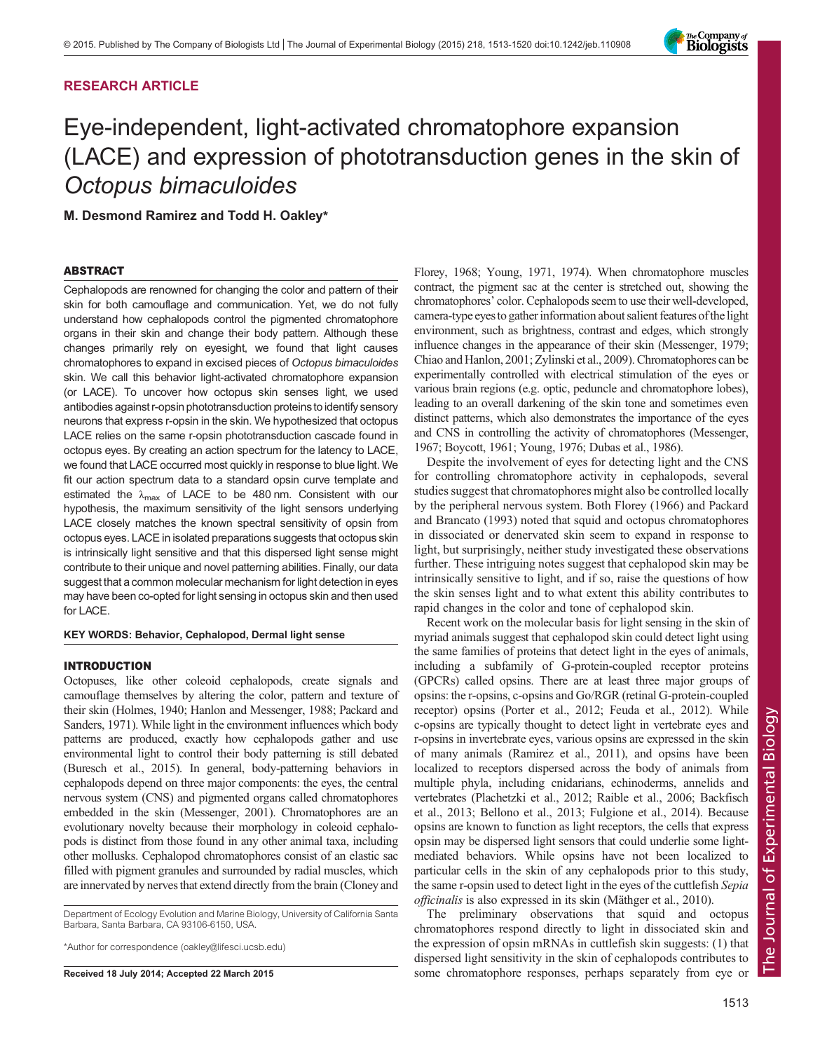# RESEARCH ARTICLE

# Eye-independent, light-activated chromatophore expansion (LACE) and expression of phototransduction genes in the skin of Octopus bimaculoides

M. Desmond Ramirez and Todd H. Oakley\*

## ABSTRACT

Cephalopods are renowned for changing the color and pattern of their skin for both camouflage and communication. Yet, we do not fully understand how cephalopods control the pigmented chromatophore organs in their skin and change their body pattern. Although these changes primarily rely on eyesight, we found that light causes chromatophores to expand in excised pieces of Octopus bimaculoides skin. We call this behavior light-activated chromatophore expansion (or LACE). To uncover how octopus skin senses light, we used antibodies against r-opsin phototransduction proteinsto identify sensory neurons that express r-opsin in the skin. We hypothesized that octopus LACE relies on the same r-opsin phototransduction cascade found in octopus eyes. By creating an action spectrum for the latency to LACE, we found that LACE occurred most quickly in response to blue light. We fit our action spectrum data to a standard opsin curve template and estimated the  $\lambda_{\text{max}}$  of LACE to be 480 nm. Consistent with our hypothesis, the maximum sensitivity of the light sensors underlying LACE closely matches the known spectral sensitivity of opsin from octopus eyes. LACE in isolated preparations suggests that octopus skin is intrinsically light sensitive and that this dispersed light sense might contribute to their unique and novel patterning abilities. Finally, our data suggest that a common molecular mechanism for light detection in eyes may have been co-opted for light sensing in octopus skin and then used for LACE.

KEY WORDS: Behavior, Cephalopod, Dermal light sense

### INTRODUCTION

Octopuses, like other coleoid cephalopods, create signals and camouflage themselves by altering the color, pattern and texture of their skin [\(Holmes, 1940;](#page-7-0) Hanlon [and Messenger, 1988; Packard and](#page-7-0) [Sanders, 1971](#page-7-0)). While light in the environment influences which body patterns are produced, exactly how cephalopods gather and use environmental light to control their body patterning is still debated [\(Buresch et al., 2015](#page-7-0)). In general, body-patterning behaviors in cephalopods depend on three major components: the eyes, the central nervous system (CNS) and pigmented organs called chromatophores embedded in the skin ([Messenger, 2001\)](#page-7-0). Chromatophores are an evolutionary novelty because their morphology in coleoid cephalopods is distinct from those found in any other animal taxa, including other mollusks. Cephalopod chromatophores consist of an elastic sac filled with pigment granules and surrounded by radial muscles, which are innervated by nerves that extend directly from the brain [\(Cloney and](#page-7-0)

Department of Ecology Evolution and Marine Biology, University of California Santa Barbara, Santa Barbara, CA 93106-6150, USA.

\*Author for correspondence (oakley@lifesci.ucsb.edu)

[Florey, 1968; Young, 1971, 1974\)](#page-7-0). When chromatophore muscles contract, the pigment sac at the center is stretched out, showing the chromatophores' color. Cephalopods seem to use their well-developed, camera-type eyesto gather information about salient features of the light environment, such as brightness, contrast and edges, which strongly influence changes in the appearance of their skin ([Messenger, 1979](#page-7-0); [Chiao and Hanlon, 2001; Zylinski et al., 2009](#page-7-0)). Chromatophores can be experimentally controlled with electrical stimulation of the eyes or various brain regions (e.g. optic, peduncle and chromatophore lobes), leading to an overall darkening of the skin tone and sometimes even distinct patterns, which also demonstrates the importance of the eyes and CNS in controlling the activity of chromatophores [\(Messenger,](#page-7-0) [1967](#page-7-0); [Boycott, 1961; Young, 1976](#page-7-0); [Dubas et al., 1986\)](#page-7-0).

Despite the involvement of eyes for detecting light and the CNS for controlling chromatophore activity in cephalopods, several studies suggest that chromatophores might also be controlled locally by the peripheral nervous system. Both [Florey \(1966\)](#page-7-0) and [Packard](#page-7-0) [and Brancato \(1993\)](#page-7-0) noted that squid and octopus chromatophores in dissociated or denervated skin seem to expand in response to light, but surprisingly, neither study investigated these observations further. These intriguing notes suggest that cephalopod skin may be intrinsically sensitive to light, and if so, raise the questions of how the skin senses light and to what extent this ability contributes to rapid changes in the color and tone of cephalopod skin.

Recent work on the molecular basis for light sensing in the skin of myriad animals suggest that cephalopod skin could detect light using the same families of proteins that detect light in the eyes of animals, including a subfamily of G-protein-coupled receptor proteins (GPCRs) called opsins. There are at least three major groups of opsins: the r-opsins, c-opsins and Go/RGR (retinal G-protein-coupled receptor) opsins [\(Porter et al., 2012](#page-7-0); [Feuda et al., 2012\)](#page-7-0). While c-opsins are typically thought to detect light in vertebrate eyes and r-opsins in invertebrate eyes, various opsins are expressed in the skin of many animals [\(Ramirez et al., 2011\)](#page-7-0), and opsins have been localized to receptors dispersed across the body of animals from multiple phyla, including cnidarians, echinoderms, annelids and vertebrates [\(Plachetzki et al., 2012; Raible et al., 2006](#page-7-0); [Backfisch](#page-7-0) [et al., 2013; Bellono et al., 2013](#page-7-0); [Fulgione et al., 2014](#page-7-0)). Because opsins are known to function as light receptors, the cells that express opsin may be dispersed light sensors that could underlie some lightmediated behaviors. While opsins have not been localized to particular cells in the skin of any cephalopods prior to this study, the same r-opsin used to detect light in the eyes of the cuttlefish Sepia officinalis is also expressed in its skin ([Mäthger et al., 2010\)](#page-7-0).

The preliminary observations that squid and octopus chromatophores respond directly to light in dissociated skin and the expression of opsin mRNAs in cuttlefish skin suggests: (1) that dispersed light sensitivity in the skin of cephalopods contributes to Received 18 July 2014; Accepted 22 March 2015 some chromatophore responses, perhaps separately from eye or

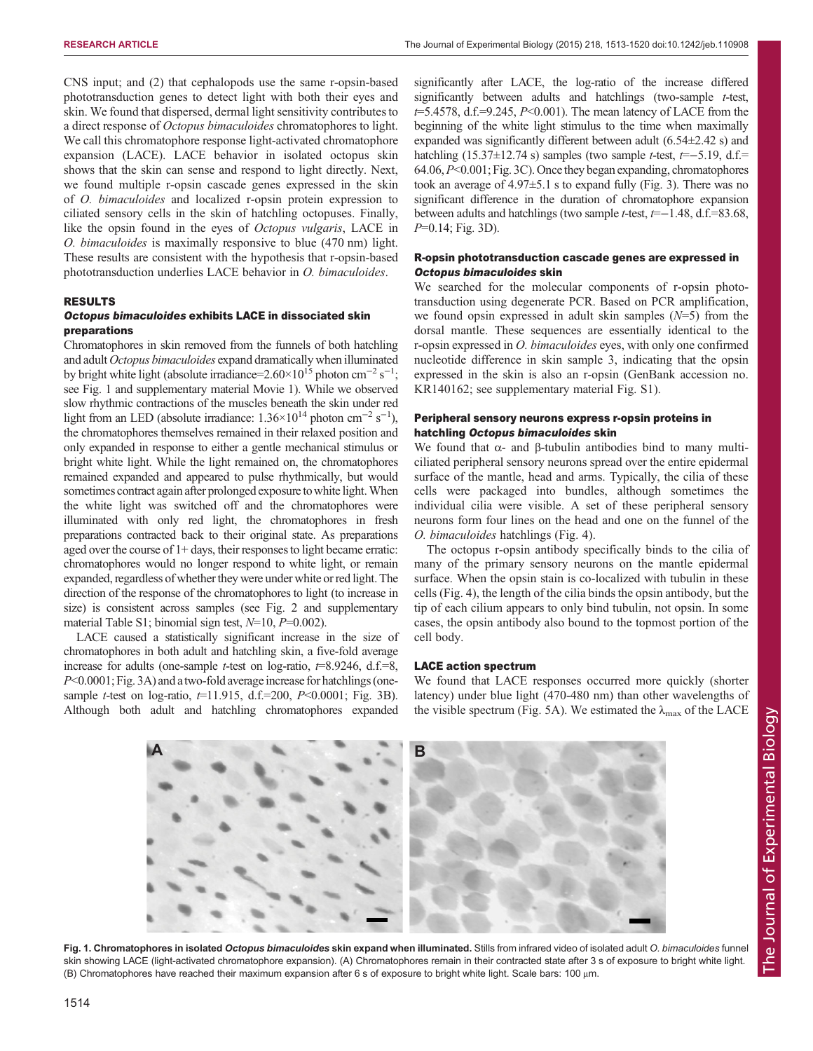CNS input; and (2) that cephalopods use the same r-opsin-based phototransduction genes to detect light with both their eyes and skin. We found that dispersed, dermal light sensitivity contributes to a direct response of Octopus bimaculoides chromatophores to light. We call this chromatophore response light-activated chromatophore expansion (LACE). LACE behavior in isolated octopus skin shows that the skin can sense and respond to light directly. Next, we found multiple r-opsin cascade genes expressed in the skin of O. bimaculoides and localized r-opsin protein expression to ciliated sensory cells in the skin of hatchling octopuses. Finally, like the opsin found in the eyes of Octopus vulgaris, LACE in O. bimaculoides is maximally responsive to blue (470 nm) light. These results are consistent with the hypothesis that r-opsin-based phototransduction underlies LACE behavior in O. bimaculoides.

## RESULTS

# Octopus bimaculoides exhibits LACE in dissociated skin preparations

Chromatophores in skin removed from the funnels of both hatchling and adult Octopus bimaculoides expand dramatically when illuminated by bright white light (absolute irradiance= $2.60 \times 10^{15}$  photon cm<sup>-2</sup> s<sup>-1</sup>; see Fig. 1 and [supplementary material Movie 1](http://jeb.biologists.org/lookup/suppl/doi:10.1242/jeb.110908/-/DC1)). While we observed slow rhythmic contractions of the muscles beneath the skin under red light from an LED (absolute irradiance:  $1.36 \times 10^{14}$  photon cm<sup>-2</sup> s<sup>-1</sup>), the chromatophores themselves remained in their relaxed position and only expanded in response to either a gentle mechanical stimulus or bright white light. While the light remained on, the chromatophores remained expanded and appeared to pulse rhythmically, but would sometimes contract again after prolonged exposure to white light. When the white light was switched off and the chromatophores were illuminated with only red light, the chromatophores in fresh preparations contracted back to their original state. As preparations aged over the course of  $1+$  days, their responses to light became erratic: chromatophores would no longer respond to white light, or remain expanded, regardless of whether they were under white or red light. The direction of the response of the chromatophores to light (to increase in size) is consistent across samples (see [Fig. 2](#page-2-0) and [supplementary](http://jeb.biologists.org/lookup/suppl/doi:10.1242/jeb.110908/-/DC1) [material Table S1;](http://jeb.biologists.org/lookup/suppl/doi:10.1242/jeb.110908/-/DC1) binomial sign test,  $N=10$ ,  $P=0.002$ ).

LACE caused a statistically significant increase in the size of chromatophores in both adult and hatchling skin, a five-fold average increase for adults (one-sample *t*-test on log-ratio,  $t=8.9246$ , d.f.=8, P<0.0001; [Fig. 3A](#page-3-0)) and atwo-fold average increase for hatchlings (onesample *t*-test on log-ratio,  $t=11.915$ , d.f.=200,  $P<0.0001$ ; [Fig. 3B](#page-3-0)). Although both adult and hatchling chromatophores expanded

significantly after LACE, the log-ratio of the increase differed significantly between adults and hatchlings (two-sample *t*-test,  $t=5.4578$ , d.f.=9.245,  $P<0.001$ ). The mean latency of LACE from the beginning of the white light stimulus to the time when maximally expanded was significantly different between adult (6.54±2.42 s) and hatchling (15.37±12.74 s) samples (two sample t-test,  $t=-5.19$ , d.f.= 64.06,P<0.001; [Fig. 3C](#page-3-0)). Once they began expanding, chromatophores took an average of 4.97±5.1 s to expand fully [\(Fig. 3\)](#page-3-0). There was no significant difference in the duration of chromatophore expansion between adults and hatchlings (two sample t-test, t=−1.48, d.f.=83.68, P=0.14; [Fig. 3D](#page-3-0)).

## R-opsin phototransduction cascade genes are expressed in Octopus bimaculoides skin

We searched for the molecular components of r-opsin phototransduction using degenerate PCR. Based on PCR amplification, we found opsin expressed in adult skin samples  $(N=5)$  from the dorsal mantle. These sequences are essentially identical to the r-opsin expressed in O. bimaculoides eyes, with only one confirmed nucleotide difference in skin sample 3, indicating that the opsin expressed in the skin is also an r-opsin (GenBank accession no. KR140162; see [supplementary material Fig. S1](http://jeb.biologists.org/lookup/suppl/doi:10.1242/jeb.110908/-/DC1)).

## Peripheral sensory neurons express r-opsin proteins in hatchling Octopus bimaculoides skin

We found that  $\alpha$ - and β-tubulin antibodies bind to many multiciliated peripheral sensory neurons spread over the entire epidermal surface of the mantle, head and arms. Typically, the cilia of these cells were packaged into bundles, although sometimes the individual cilia were visible. A set of these peripheral sensory neurons form four lines on the head and one on the funnel of the O. bimaculoides hatchlings ([Fig. 4](#page-4-0)).

The octopus r-opsin antibody specifically binds to the cilia of many of the primary sensory neurons on the mantle epidermal surface. When the opsin stain is co-localized with tubulin in these cells [\(Fig. 4\)](#page-4-0), the length of the cilia binds the opsin antibody, but the tip of each cilium appears to only bind tubulin, not opsin. In some cases, the opsin antibody also bound to the topmost portion of the cell body.

# LACE action spectrum

We found that LACE responses occurred more quickly (shorter latency) under blue light (470-480 nm) than other wavelengths of the visible spectrum [\(Fig. 5](#page-5-0)A). We estimated the  $\lambda_{\text{max}}$  of the LACE



Fig. 1. Chromatophores in isolated Octopus bimaculoides skin expand when illuminated. Stills from infrared video of isolated adult O. bimaculoides funnel skin showing LACE (light-activated chromatophore expansion). (A) Chromatophores remain in their contracted state after 3 s of exposure to bright white light. (B) Chromatophores have reached their maximum expansion after 6 s of exposure to bright white light. Scale bars: 100 μm.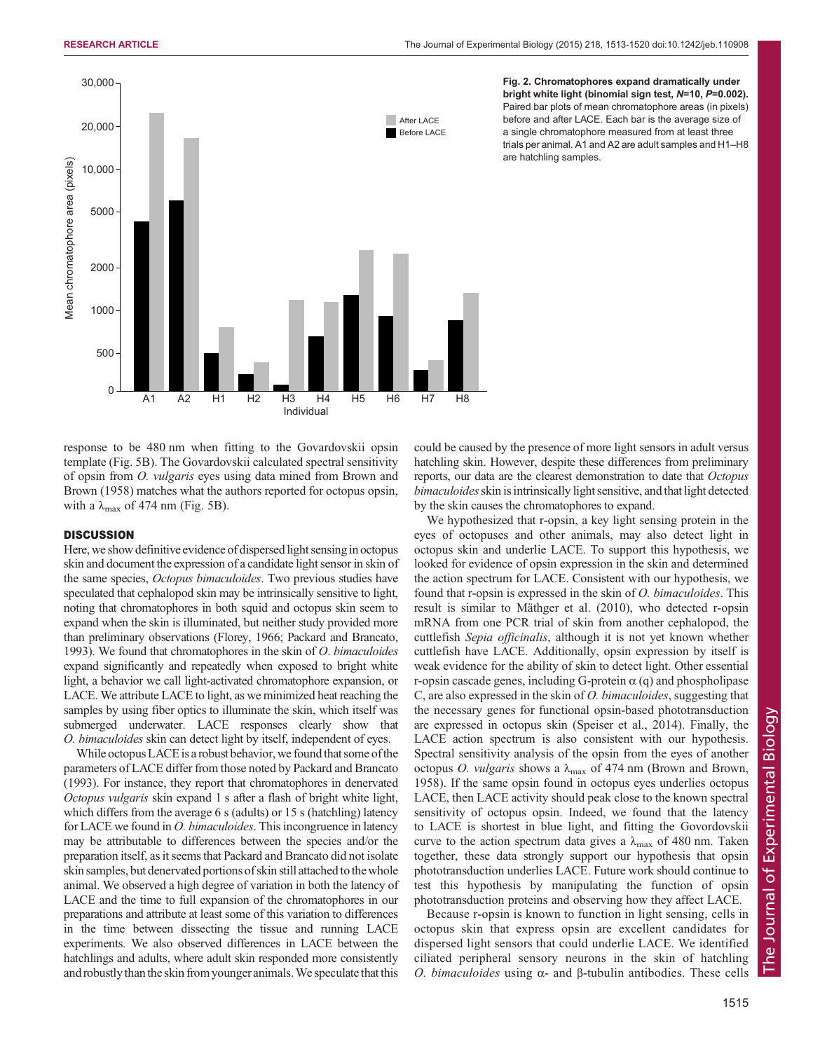<span id="page-2-0"></span>



response to be 480 nm when fitting to the Govardovskii opsin template [\(Fig. 5B](#page-5-0)). The Govardovskii calculated spectral sensitivity of opsin from O. vulgaris eyes using data mined from [Brown and](#page-7-0) [Brown \(1958\)](#page-7-0) matches what the authors reported for octopus opsin, with a  $\lambda_{\text{max}}$  of 474 nm ([Fig. 5](#page-5-0)B).

## **DISCUSSION**

Here, we show definitive evidence of dispersed light sensing in octopus skin and document the expression of a candidate light sensor in skin of the same species, Octopus bimaculoides. Two previous studies have speculated that cephalopod skin may be intrinsically sensitive to light, noting that chromatophores in both squid and octopus skin seem to expand when the skin is illuminated, but neither study provided more than preliminary observations [\(Florey, 1966; Packard and Brancato,](#page-7-0) [1993](#page-7-0)). We found that chromatophores in the skin of O. bimaculoides expand significantly and repeatedly when exposed to bright white light, a behavior we call light-activated chromatophore expansion, or LACE. We attribute LACE to light, as we minimized heat reaching the samples by using fiber optics to illuminate the skin, which itself was submerged underwater. LACE responses clearly show that O. bimaculoides skin can detect light by itself, independent of eyes.

While octopus LACE is a robust behavior, we found that some of the parameters of LACE differ from those noted by [Packard and Brancato](#page-7-0) [\(1993\).](#page-7-0) For instance, they report that chromatophores in denervated Octopus vulgaris skin expand 1 s after a flash of bright white light, which differs from the average 6 s (adults) or 15 s (hatchling) latency for LACE we found in *O. bimaculoides*. This incongruence in latency may be attributable to differences between the species and/or the preparation itself, as it seems that Packard and Brancato did not isolate skin samples, but denervated portions of skin still attached to thewhole animal. We observed a high degree of variation in both the latency of LACE and the time to full expansion of the chromatophores in our preparations and attribute at least some of this variation to differences in the time between dissecting the tissue and running LACE experiments. We also observed differences in LACE between the hatchlings and adults, where adult skin responded more consistently and robustly than the skin from younger animals. We speculate that this could be caused by the presence of more light sensors in adult versus hatchling skin. However, despite these differences from preliminary reports, our data are the clearest demonstration to date that Octopus bimaculoides skin is intrinsically light sensitive, and that light detected by the skin causes the chromatophores to expand.

We hypothesized that r-opsin, a key light sensing protein in the eyes of octopuses and other animals, may also detect light in octopus skin and underlie LACE. To support this hypothesis, we looked for evidence of opsin expression in the skin and determined the action spectrum for LACE. Consistent with our hypothesis, we found that r-opsin is expressed in the skin of O. bimaculoides. This result is similar to [Mäthger et al. \(2010\),](#page-7-0) who detected r-opsin mRNA from one PCR trial of skin from another cephalopod, the cuttlefish Sepia officinalis, although it is not yet known whether cuttlefish have LACE. Additionally, opsin expression by itself is weak evidence for the ability of skin to detect light. Other essential r-opsin cascade genes, including G-protein  $\alpha$  (q) and phospholipase C, are also expressed in the skin of O. bimaculoides, suggesting that the necessary genes for functional opsin-based phototransduction are expressed in octopus skin ([Speiser et al., 2014\)](#page-7-0). Finally, the LACE action spectrum is also consistent with our hypothesis. Spectral sensitivity analysis of the opsin from the eyes of another octopus *O. vulgaris* shows a  $\lambda_{\text{max}}$  of 474 nm ([Brown and Brown,](#page-7-0) [1958\)](#page-7-0). If the same opsin found in octopus eyes underlies octopus LACE, then LACE activity should peak close to the known spectral sensitivity of octopus opsin. Indeed, we found that the latency to LACE is shortest in blue light, and fitting the Govordovskii curve to the action spectrum data gives a  $\lambda_{\text{max}}$  of 480 nm. Taken together, these data strongly support our hypothesis that opsin phototransduction underlies LACE. Future work should continue to test this hypothesis by manipulating the function of opsin phototransduction proteins and observing how they affect LACE.

Because r-opsin is known to function in light sensing, cells in octopus skin that express opsin are excellent candidates for dispersed light sensors that could underlie LACE. We identified ciliated peripheral sensory neurons in the skin of hatchling O. bimaculoides using α- and β-tubulin antibodies. These cells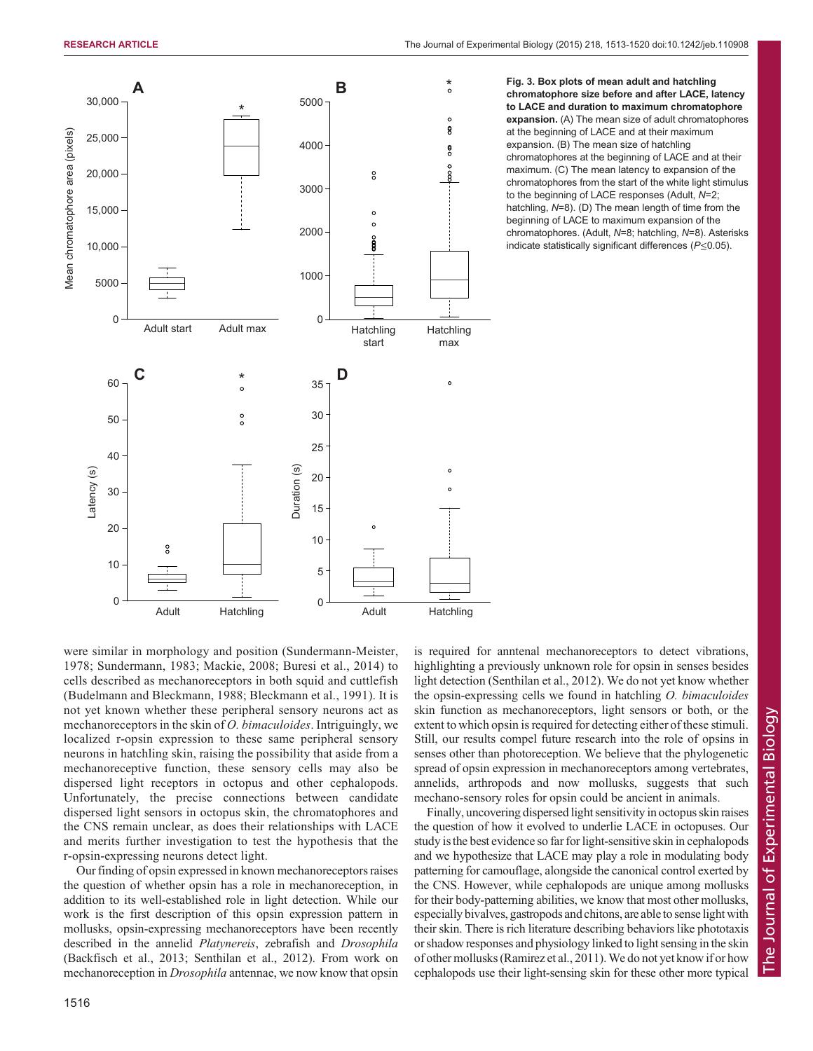<span id="page-3-0"></span>

Fig. 3. Box plots of mean adult and hatchling chromatophore size before and after LACE, latency to LACE and duration to maximum chromatophore expansion. (A) The mean size of adult chromatophores at the beginning of LACE and at their maximum expansion. (B) The mean size of hatchling chromatophores at the beginning of LACE and at their maximum. (C) The mean latency to expansion of the chromatophores from the start of the white light stimulus to the beginning of LACE responses (Adult, N=2; hatchling,  $N=8$ ). (D) The mean length of time from the beginning of LACE to maximum expansion of the chromatophores. (Adult, N=8; hatchling, N=8). Asterisks indicate statistically significant differences (P≤0.05).

were similar in morphology and position ([Sundermann-Meister,](#page-7-0) [1978; Sundermann, 1983; Mackie, 2008](#page-7-0); [Buresi et al., 2014](#page-7-0)) to cells described as mechanoreceptors in both squid and cuttlefish [\(Budelmann and Bleckmann, 1988](#page-7-0); [Bleckmann et al., 1991\)](#page-7-0). It is not yet known whether these peripheral sensory neurons act as mechanoreceptors in the skin of *O. bimaculoides*. Intriguingly, we localized r-opsin expression to these same peripheral sensory neurons in hatchling skin, raising the possibility that aside from a mechanoreceptive function, these sensory cells may also be dispersed light receptors in octopus and other cephalopods. Unfortunately, the precise connections between candidate dispersed light sensors in octopus skin, the chromatophores and the CNS remain unclear, as does their relationships with LACE and merits further investigation to test the hypothesis that the r-opsin-expressing neurons detect light.

Our finding of opsin expressed in known mechanoreceptors raises the question of whether opsin has a role in mechanoreception, in addition to its well-established role in light detection. While our work is the first description of this opsin expression pattern in mollusks, opsin-expressing mechanoreceptors have been recently described in the annelid Platynereis, zebrafish and Drosophila [\(Backfisch et al., 2013](#page-7-0); [Senthilan et al., 2012](#page-7-0)). From work on mechanoreception in *Drosophila* antennae, we now know that opsin is required for anntenal mechanoreceptors to detect vibrations, highlighting a previously unknown role for opsin in senses besides light detection ([Senthilan et al., 2012\)](#page-7-0). We do not yet know whether the opsin-expressing cells we found in hatchling O. bimaculoides skin function as mechanoreceptors, light sensors or both, or the extent to which opsin is required for detecting either of these stimuli. Still, our results compel future research into the role of opsins in senses other than photoreception. We believe that the phylogenetic spread of opsin expression in mechanoreceptors among vertebrates, annelids, arthropods and now mollusks, suggests that such mechano-sensory roles for opsin could be ancient in animals.

Finally, uncovering dispersed light sensitivity in octopus skin raises the question of how it evolved to underlie LACE in octopuses. Our study is the best evidence so far for light-sensitive skin in cephalopods and we hypothesize that LACE may play a role in modulating body patterning for camouflage, alongside the canonical control exerted by the CNS. However, while cephalopods are unique among mollusks for their body-patterning abilities, we know that most other mollusks, especially bivalves, gastropods and chitons, are ableto sense light with their skin. There is rich literature describing behaviors like phototaxis or shadow responses and physiology linked to light sensing in the skin of other mollusks ([Ramirez et al., 2011\)](#page-7-0).We do not yet know if or how cephalopods use their light-sensing skin for these other more typical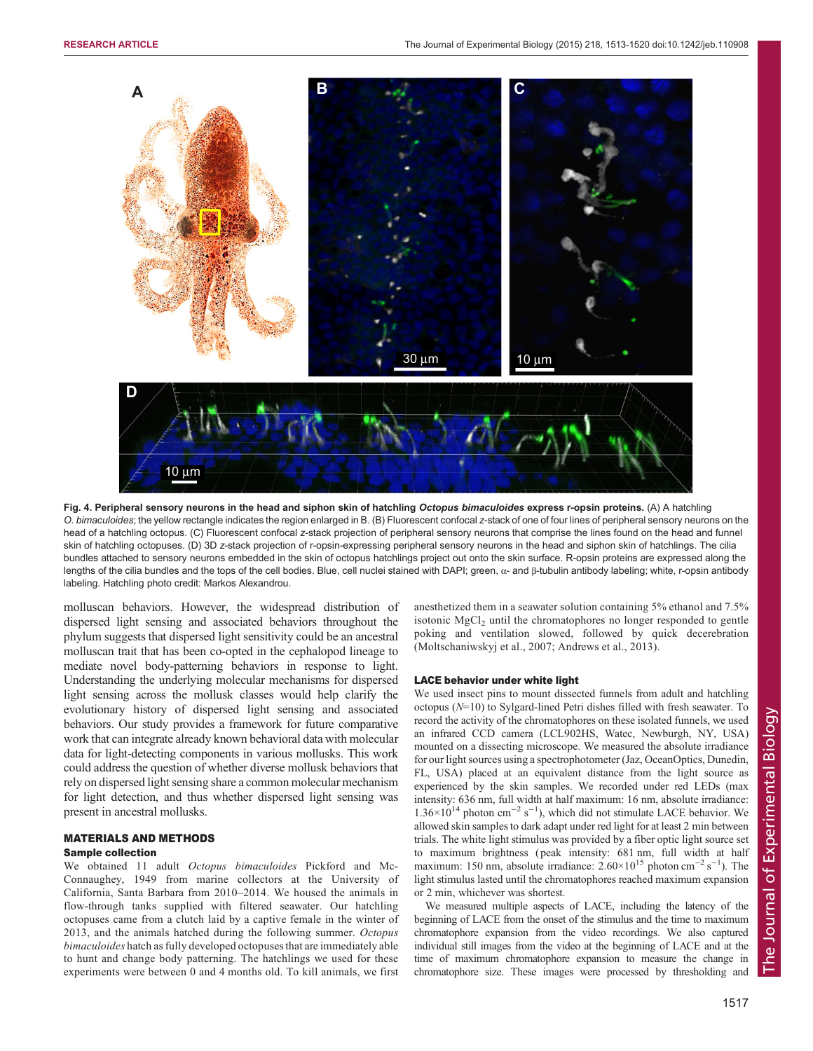<span id="page-4-0"></span>

Fig. 4. Peripheral sensory neurons in the head and siphon skin of hatchling Octopus bimaculoides express r-opsin proteins. (A) A hatchling O. bimaculoides; the yellow rectangle indicates the region enlarged in B. (B) Fluorescent confocal z-stack of one of four lines of peripheral sensory neurons on the head of a hatchling octopus. (C) Fluorescent confocal z-stack projection of peripheral sensory neurons that comprise the lines found on the head and funnel skin of hatchling octopuses. (D) 3D z-stack projection of r-opsin-expressing peripheral sensory neurons in the head and siphon skin of hatchlings. The cilia bundles attached to sensory neurons embedded in the skin of octopus hatchlings project out onto the skin surface. R-opsin proteins are expressed along the lengths of the cilia bundles and the tops of the cell bodies. Blue, cell nuclei stained with DAPI; green, α- and β-tubulin antibody labeling; white, r-opsin antibody labeling. Hatchling photo credit: Markos Alexandrou.

molluscan behaviors. However, the widespread distribution of dispersed light sensing and associated behaviors throughout the phylum suggests that dispersed light sensitivity could be an ancestral molluscan trait that has been co-opted in the cephalopod lineage to mediate novel body-patterning behaviors in response to light. Understanding the underlying molecular mechanisms for dispersed light sensing across the mollusk classes would help clarify the evolutionary history of dispersed light sensing and associated behaviors. Our study provides a framework for future comparative work that can integrate already known behavioral data with molecular data for light-detecting components in various mollusks. This work could address the question of whether diverse mollusk behaviors that rely on dispersed light sensing share a common molecular mechanism for light detection, and thus whether dispersed light sensing was present in ancestral mollusks.

## MATERIALS AND METHODS

#### Sample collection

We obtained 11 adult Octopus bimaculoides Pickford and Mc-Connaughey, 1949 from marine collectors at the University of California, Santa Barbara from 2010–2014. We housed the animals in flow-through tanks supplied with filtered seawater. Our hatchling octopuses came from a clutch laid by a captive female in the winter of 2013, and the animals hatched during the following summer. Octopus bimaculoides hatch as fully developed octopuses that are immediately able to hunt and change body patterning. The hatchlings we used for these experiments were between 0 and 4 months old. To kill animals, we first

anesthetized them in a seawater solution containing 5% ethanol and 7.5% isotonic  $MgCl<sub>2</sub>$  until the chromatophores no longer responded to gentle poking and ventilation slowed, followed by quick decerebration ([Moltschaniwskyj et al., 2007; Andrews et al., 2013](#page-7-0)).

## LACE behavior under white light

We used insect pins to mount dissected funnels from adult and hatchling octopus (N=10) to Sylgard-lined Petri dishes filled with fresh seawater. To record the activity of the chromatophores on these isolated funnels, we used an infrared CCD camera (LCL902HS, Watec, Newburgh, NY, USA) mounted on a dissecting microscope. We measured the absolute irradiance for our light sources using a spectrophotometer (Jaz, OceanOptics, Dunedin, FL, USA) placed at an equivalent distance from the light source as experienced by the skin samples. We recorded under red LEDs (max intensity: 636 nm, full width at half maximum: 16 nm, absolute irradiance: 1.36×10<sup>14</sup> photon cm<sup>-2</sup> s<sup>-1</sup>), which did not stimulate LACE behavior. We allowed skin samples to dark adapt under red light for at least 2 min between trials. The white light stimulus was provided by a fiber optic light source set to maximum brightness ( peak intensity: 681 nm, full width at half maximum: 150 nm, absolute irradiance:  $2.60 \times 10^{15}$  photon cm<sup>-2</sup> s<sup>-1</sup>). The light stimulus lasted until the chromatophores reached maximum expansion or 2 min, whichever was shortest.

We measured multiple aspects of LACE, including the latency of the beginning of LACE from the onset of the stimulus and the time to maximum chromatophore expansion from the video recordings. We also captured individual still images from the video at the beginning of LACE and at the time of maximum chromatophore expansion to measure the change in chromatophore size. These images were processed by thresholding and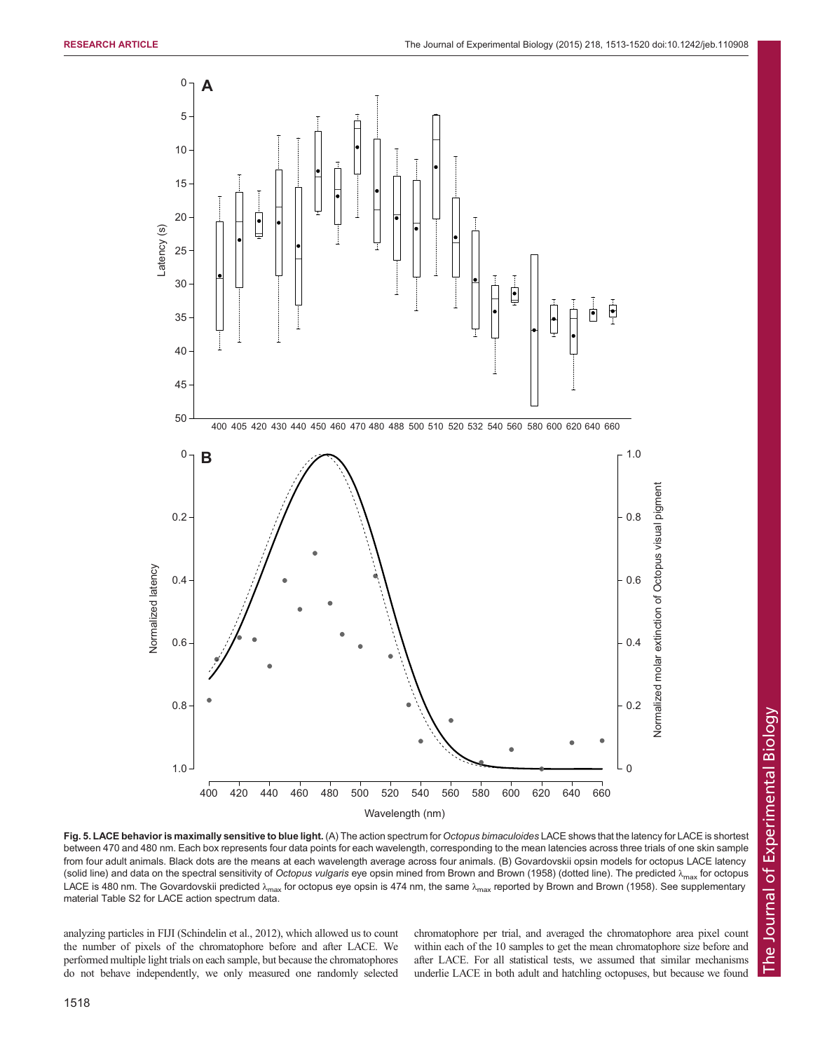<span id="page-5-0"></span>

Fig. 5. LACE behavior is maximally sensitive to blue light. (A) The action spectrum for Octopus bimaculoides LACE shows that the latency for LACE is shortest between 470 and 480 nm. Each box represents four data points for each wavelength, corresponding to the mean latencies across three trials of one skin sample from four adult animals. Black dots are the means at each wavelength average across four animals. (B) Govardovskii opsin models for octopus LACE latency (solid line) and data on the spectral sensitivity of Octopus vulgaris eye opsin mined from [Brown and Brown \(1958\)](#page-7-0) (dotted line). The predicted  $\lambda_{\rm max}$  for octopus LACE is 480 nm. The Govardovskii predicted  $\lambda_{\text{max}}$  for octopus eye opsin is 474 nm, the same  $\lambda_{\text{max}}$  reported by [Brown and Brown \(1958\)](#page-7-0). See [supplementary](http://jeb.biologists.org/lookup/suppl/doi:10.1242/jeb.110908/-/DC1) [material Table S2](http://jeb.biologists.org/lookup/suppl/doi:10.1242/jeb.110908/-/DC1) for LACE action spectrum data.

analyzing particles in FIJI [\(Schindelin et al., 2012\)](#page-7-0), which allowed us to count the number of pixels of the chromatophore before and after LACE. We performed multiple light trials on each sample, but because the chromatophores do not behave independently, we only measured one randomly selected

chromatophore per trial, and averaged the chromatophore area pixel count within each of the 10 samples to get the mean chromatophore size before and after LACE. For all statistical tests, we assumed that similar mechanisms underlie LACE in both adult and hatchling octopuses, but because we found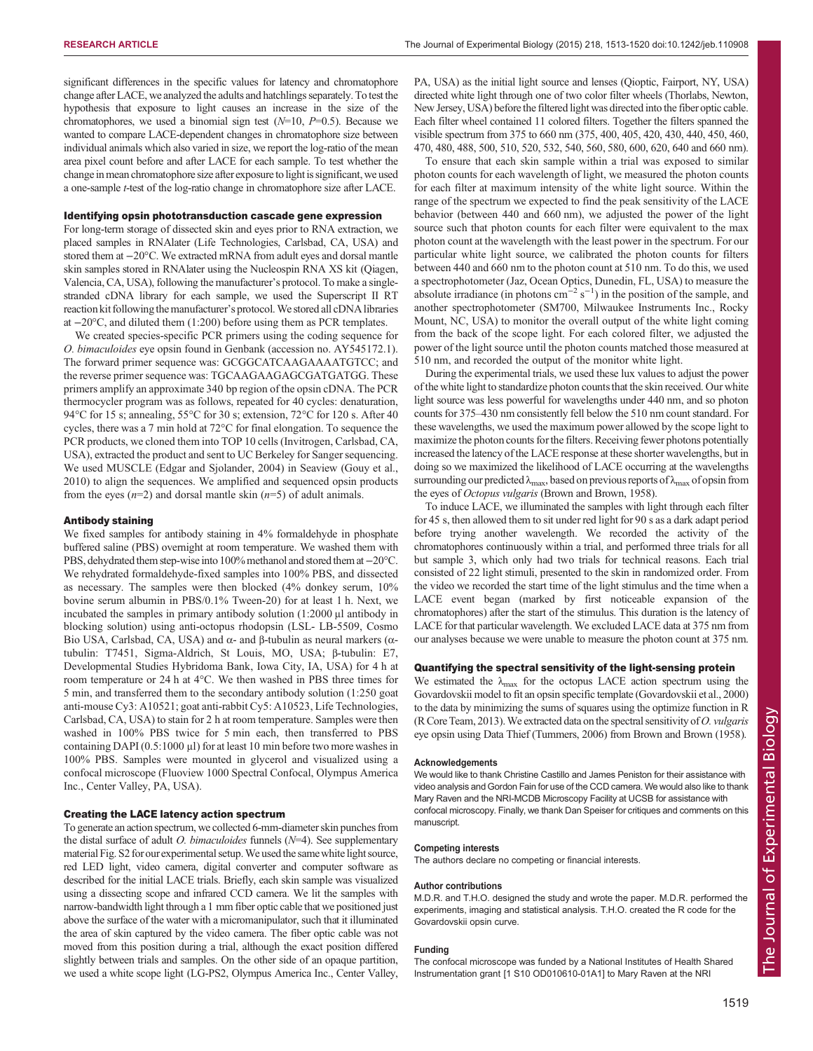significant differences in the specific values for latency and chromatophore change after LACE, we analyzed the adults and hatchlings separately. To test the hypothesis that exposure to light causes an increase in the size of the chromatophores, we used a binomial sign test  $(N=10, P=0.5)$ . Because we wanted to compare LACE-dependent changes in chromatophore size between individual animals which also varied in size, we report the log-ratio of the mean area pixel count before and after LACE for each sample. To test whether the change in mean chromatophore size after exposure to light is significant, we used a one-sample t-test of the log-ratio change in chromatophore size after LACE.

#### Identifying opsin phototransduction cascade gene expression

For long-term storage of dissected skin and eyes prior to RNA extraction, we placed samples in RNAlater (Life Technologies, Carlsbad, CA, USA) and stored them at −20°C. We extracted mRNA from adult eyes and dorsal mantle skin samples stored in RNAlater using the Nucleospin RNA XS kit (Qiagen, Valencia, CA, USA), following the manufacturer's protocol. To make a singlestranded cDNA library for each sample, we used the Superscript II RT reaction kit following the manufacturer's protocol. We stored all cDNA libraries at −20°C, and diluted them (1:200) before using them as PCR templates.

We created species-specific PCR primers using the coding sequence for O. bimaculoides eye opsin found in Genbank (accession no. AY545172.1). The forward primer sequence was: GCGGCATCAAGAAAATGTCC; and the reverse primer sequence was: TGCAAGAAGAGCGATGATGG. These primers amplify an approximate 340 bp region of the opsin cDNA. The PCR thermocycler program was as follows, repeated for 40 cycles: denaturation, 94°C for 15 s; annealing, 55°C for 30 s; extension, 72°C for 120 s. After 40 cycles, there was a 7 min hold at 72°C for final elongation. To sequence the PCR products, we cloned them into TOP 10 cells (Invitrogen, Carlsbad, CA, USA), extracted the product and sent to UC Berkeley for Sanger sequencing. We used MUSCLE ([Edgar and Sjolander, 2004](#page-7-0)) in Seaview ([Gouy et al.,](#page-7-0) [2010](#page-7-0)) to align the sequences. We amplified and sequenced opsin products from the eyes  $(n=2)$  and dorsal mantle skin  $(n=5)$  of adult animals.

#### Antibody staining

We fixed samples for antibody staining in 4% formaldehyde in phosphate buffered saline (PBS) overnight at room temperature. We washed them with PBS, dehydrated them step-wise into 100% methanol and stored them at -20°C. We rehydrated formaldehyde-fixed samples into 100% PBS, and dissected as necessary. The samples were then blocked (4% donkey serum, 10% bovine serum albumin in PBS/0.1% Tween-20) for at least 1 h. Next, we incubated the samples in primary antibody solution (1:2000 μl antibody in blocking solution) using anti-octopus rhodopsin (LSL- LB-5509, Cosmo Bio USA, Carlsbad, CA, USA) and α- and β-tubulin as neural markers (αtubulin: T7451, Sigma-Aldrich, St Louis, MO, USA; β-tubulin: E7, Developmental Studies Hybridoma Bank, Iowa City, IA, USA) for 4 h at room temperature or 24 h at 4°C. We then washed in PBS three times for 5 min, and transferred them to the secondary antibody solution (1:250 goat anti-mouse Cy3: A10521; goat anti-rabbit Cy5: A10523, Life Technologies, Carlsbad, CA, USA) to stain for 2 h at room temperature. Samples were then washed in 100% PBS twice for 5 min each, then transferred to PBS containing DAPI (0.5:1000 μl) for at least 10 min before two more washes in 100% PBS. Samples were mounted in glycerol and visualized using a confocal microscope (Fluoview 1000 Spectral Confocal, Olympus America Inc., Center Valley, PA, USA).

#### Creating the LACE latency action spectrum

To generate an action spectrum, we collected 6-mm-diameter skin punches from the distal surface of adult  $O$ . *bimaculoides* funnels  $(N=4)$ . See [supplementary](http://jeb.biologists.org/lookup/suppl/doi:10.1242/jeb.110908/-/DC1) [material Fig. S2](http://jeb.biologists.org/lookup/suppl/doi:10.1242/jeb.110908/-/DC1) for our experimental setup. We used the same white light source, red LED light, video camera, digital converter and computer software as described for the initial LACE trials. Briefly, each skin sample was visualized using a dissecting scope and infrared CCD camera. We lit the samples with narrow-bandwidth light through a 1 mm fiber optic cable that we positioned just above the surface of the water with a micromanipulator, such that it illuminated the area of skin captured by the video camera. The fiber optic cable was not moved from this position during a trial, although the exact position differed slightly between trials and samples. On the other side of an opaque partition, we used a white scope light (LG-PS2, Olympus America Inc., Center Valley,

PA, USA) as the initial light source and lenses (Qioptic, Fairport, NY, USA) directed white light through one of two color filter wheels (Thorlabs, Newton, New Jersey, USA) before the filtered light was directed into the fiber optic cable. Each filter wheel contained 11 colored filters. Together the filters spanned the visible spectrum from 375 to 660 nm (375, 400, 405, 420, 430, 440, 450, 460, 470, 480, 488, 500, 510, 520, 532, 540, 560, 580, 600, 620, 640 and 660 nm).

To ensure that each skin sample within a trial was exposed to similar photon counts for each wavelength of light, we measured the photon counts for each filter at maximum intensity of the white light source. Within the range of the spectrum we expected to find the peak sensitivity of the LACE behavior (between 440 and 660 nm), we adjusted the power of the light source such that photon counts for each filter were equivalent to the max photon count at the wavelength with the least power in the spectrum. For our particular white light source, we calibrated the photon counts for filters between 440 and 660 nm to the photon count at 510 nm. To do this, we used a spectrophotometer (Jaz, Ocean Optics, Dunedin, FL, USA) to measure the absolute irradiance (in photons  $cm^{-2} s^{-1}$ ) in the position of the sample, and another spectrophotometer (SM700, Milwaukee Instruments Inc., Rocky Mount, NC, USA) to monitor the overall output of the white light coming from the back of the scope light. For each colored filter, we adjusted the power of the light source until the photon counts matched those measured at 510 nm, and recorded the output of the monitor white light.

During the experimental trials, we used these lux values to adjust the power of the white light to standardize photon counts that the skin received. Our white light source was less powerful for wavelengths under 440 nm, and so photon counts for 375–430 nm consistently fell below the 510 nm count standard. For these wavelengths, we used the maximum power allowed by the scope light to maximize the photon counts for the filters. Receiving fewer photons potentially increased the latency of the LACE response at these shorter wavelengths, but in doing so we maximized the likelihood of LACE occurring at the wavelengths surrounding our predicted  $\lambda_{\max}$ , based on previous reports of  $\lambda_{\max}$  of opsin from the eyes of Octopus vulgaris ([Brown and Brown, 1958\)](#page-7-0).

To induce LACE, we illuminated the samples with light through each filter for 45 s, then allowed them to sit under red light for 90 s as a dark adapt period before trying another wavelength. We recorded the activity of the chromatophores continuously within a trial, and performed three trials for all but sample 3, which only had two trials for technical reasons. Each trial consisted of 22 light stimuli, presented to the skin in randomized order. From the video we recorded the start time of the light stimulus and the time when a LACE event began (marked by first noticeable expansion of the chromatophores) after the start of the stimulus. This duration is the latency of LACE for that particular wavelength. We excluded LACE data at 375 nm from our analyses because we were unable to measure the photon count at 375 nm.

### Quantifying the spectral sensitivity of the light-sensing protein

We estimated the  $\lambda_{\text{max}}$  for the octopus LACE action spectrum using the Govardovskii model to fit an opsin specific template [\(Govardovskii et al., 2000](#page-7-0)) to the data by minimizing the sums of squares using the optimize function in R ([R Core Team, 2013](#page-7-0)). We extracted data on the spectral sensitivity of  $O$ . vulgaris eye opsin using Data Thief [\(Tummers, 2006\)](#page-7-0) from [Brown and Brown \(1958\)](#page-7-0).

#### Acknowledgements

We would like to thank Christine Castillo and James Peniston for their assistance with video analysis and Gordon Fain for use of the CCD camera. We would also like to thank Mary Raven and the NRI-MCDB Microscopy Facility at UCSB for assistance with confocal microscopy. Finally, we thank Dan Speiser for critiques and comments on this manuscript.

#### Competing interests

The authors declare no competing or financial interests.

#### Author contributions

M.D.R. and T.H.O. designed the study and wrote the paper. M.D.R. performed the experiments, imaging and statistical analysis. T.H.O. created the R code for the Govardovskii opsin curve.

#### Funding

The confocal microscope was funded by a National Institutes of Health Shared Instrumentation grant [1 S10 OD010610-01A1] to Mary Raven at the NRI